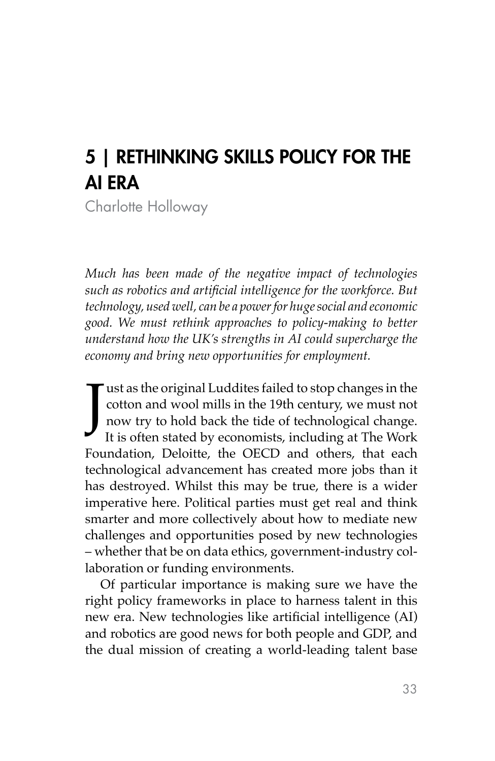# 5 | RETHINKING SKILLS POLICY FOR THE AI ERA

Charlotte Holloway

*Much has been made of the negative impact of technologies such as robotics and artificial intelligence for the workforce. But technology, used well, can be a power for huge social and economic good. We must rethink approaches to policy-making to better understand how the UK's strengths in AI could supercharge the economy and bring new opportunities for employment.*

J Tust as the original Luddites failed to stop changes in the cotton and wool mills in the 19th century, we must not now try to hold back the tide of technological change. It is often stated by economists, including at The Work Foundation, Deloitte, the OECD and others, that each technological advancement has created more jobs than it has destroyed. Whilst this may be true, there is a wider imperative here. Political parties must get real and think smarter and more collectively about how to mediate new challenges and opportunities posed by new technologies – whether that be on data ethics, government-industry collaboration or funding environments.

Of particular importance is making sure we have the right policy frameworks in place to harness talent in this new era. New technologies like artificial intelligence (AI) and robotics are good news for both people and GDP, and the dual mission of creating a world-leading talent base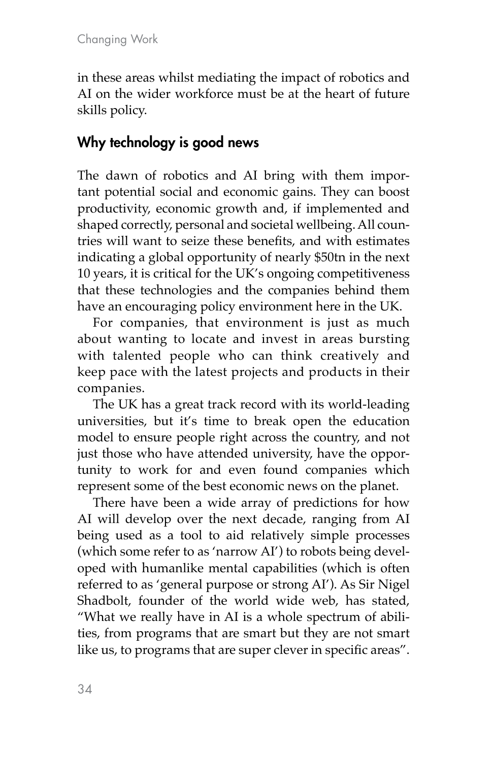in these areas whilst mediating the impact of robotics and AI on the wider workforce must be at the heart of future skills policy.

## Why technology is good news

The dawn of robotics and AI bring with them important potential social and economic gains. They can boost productivity, economic growth and, if implemented and shaped correctly, personal and societal wellbeing. All countries will want to seize these benefits, and with estimates indicating a global opportunity of nearly \$50tn in the next 10 years, it is critical for the UK's ongoing competitiveness that these technologies and the companies behind them have an encouraging policy environment here in the UK.

For companies, that environment is just as much about wanting to locate and invest in areas bursting with talented people who can think creatively and keep pace with the latest projects and products in their companies.

The UK has a great track record with its world-leading universities, but it's time to break open the education model to ensure people right across the country, and not just those who have attended university, have the opportunity to work for and even found companies which represent some of the best economic news on the planet.

There have been a wide array of predictions for how AI will develop over the next decade, ranging from AI being used as a tool to aid relatively simple processes (which some refer to as 'narrow AI') to robots being developed with humanlike mental capabilities (which is often referred to as 'general purpose or strong AI'). As Sir Nigel Shadbolt, founder of the world wide web, has stated, "What we really have in AI is a whole spectrum of abilities, from programs that are smart but they are not smart like us, to programs that are super clever in specific areas".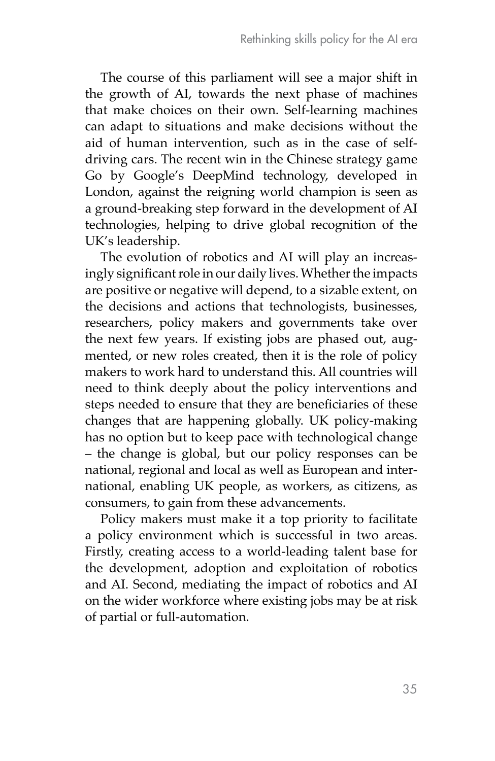The course of this parliament will see a major shift in the growth of AI, towards the next phase of machines that make choices on their own. Self-learning machines can adapt to situations and make decisions without the aid of human intervention, such as in the case of selfdriving cars. The recent win in the Chinese strategy game Go by Google's DeepMind technology, developed in London, against the reigning world champion is seen as a ground-breaking step forward in the development of AI technologies, helping to drive global recognition of the UK's leadership.

The evolution of robotics and AI will play an increasingly significant role in our daily lives. Whether the impacts are positive or negative will depend, to a sizable extent, on the decisions and actions that technologists, businesses, researchers, policy makers and governments take over the next few years. If existing jobs are phased out, augmented, or new roles created, then it is the role of policy makers to work hard to understand this. All countries will need to think deeply about the policy interventions and steps needed to ensure that they are beneficiaries of these changes that are happening globally. UK policy-making has no option but to keep pace with technological change – the change is global, but our policy responses can be national, regional and local as well as European and international, enabling UK people, as workers, as citizens, as consumers, to gain from these advancements.

Policy makers must make it a top priority to facilitate a policy environment which is successful in two areas. Firstly, creating access to a world-leading talent base for the development, adoption and exploitation of robotics and AI. Second, mediating the impact of robotics and AI on the wider workforce where existing jobs may be at risk of partial or full-automation.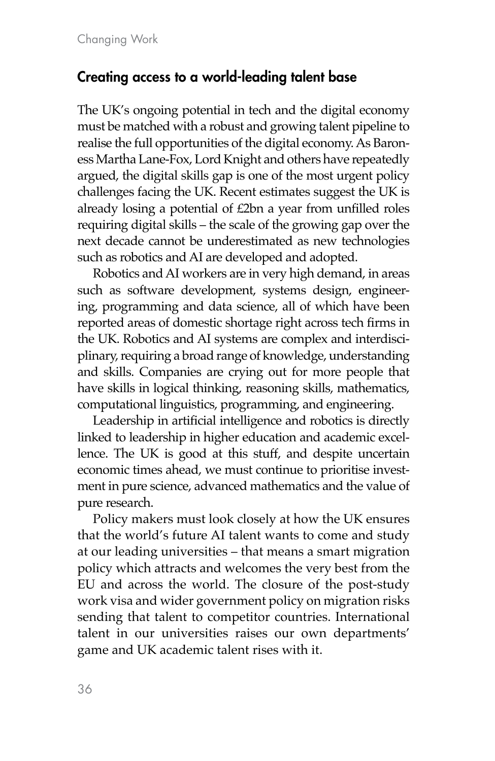## Creating access to a world-leading talent base

The UK's ongoing potential in tech and the digital economy must be matched with a robust and growing talent pipeline to realise the full opportunities of the digital economy. As Baroness Martha Lane-Fox, Lord Knight and others have repeatedly argued, the digital skills gap is one of the most urgent policy challenges facing the UK. Recent estimates suggest the UK is already losing a potential of £2bn a year from unfilled roles requiring digital skills – the scale of the growing gap over the next decade cannot be underestimated as new technologies such as robotics and AI are developed and adopted.

Robotics and AI workers are in very high demand, in areas such as software development, systems design, engineering, programming and data science, all of which have been reported areas of domestic shortage right across tech firms in the UK. Robotics and AI systems are complex and interdisciplinary, requiring a broad range of knowledge, understanding and skills. Companies are crying out for more people that have skills in logical thinking, reasoning skills, mathematics, computational linguistics, programming, and engineering.

Leadership in artificial intelligence and robotics is directly linked to leadership in higher education and academic excellence. The UK is good at this stuff, and despite uncertain economic times ahead, we must continue to prioritise investment in pure science, advanced mathematics and the value of pure research.

Policy makers must look closely at how the UK ensures that the world's future AI talent wants to come and study at our leading universities – that means a smart migration policy which attracts and welcomes the very best from the EU and across the world. The closure of the post-study work visa and wider government policy on migration risks sending that talent to competitor countries. International talent in our universities raises our own departments' game and UK academic talent rises with it.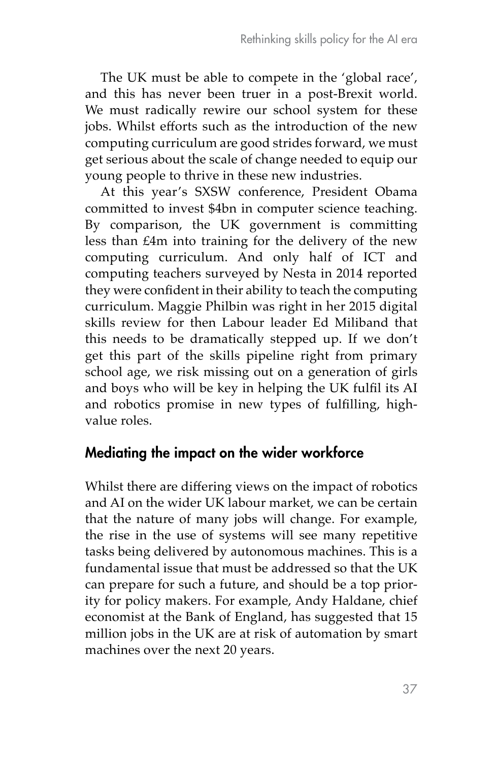The UK must be able to compete in the 'global race', and this has never been truer in a post-Brexit world. We must radically rewire our school system for these jobs. Whilst efforts such as the introduction of the new computing curriculum are good strides forward, we must get serious about the scale of change needed to equip our young people to thrive in these new industries.

At this year's SXSW conference, President Obama committed to invest \$4bn in computer science teaching. By comparison, the UK government is committing less than £4m into training for the delivery of the new computing curriculum. And only half of ICT and computing teachers surveyed by Nesta in 2014 reported they were confident in their ability to teach the computing curriculum. Maggie Philbin was right in her 2015 digital skills review for then Labour leader Ed Miliband that this needs to be dramatically stepped up. If we don't get this part of the skills pipeline right from primary school age, we risk missing out on a generation of girls and boys who will be key in helping the UK fulfil its AI and robotics promise in new types of fulfilling, highvalue roles.

### Mediating the impact on the wider workforce

Whilst there are differing views on the impact of robotics and AI on the wider UK labour market, we can be certain that the nature of many jobs will change. For example, the rise in the use of systems will see many repetitive tasks being delivered by autonomous machines. This is a fundamental issue that must be addressed so that the UK can prepare for such a future, and should be a top priority for policy makers. For example, Andy Haldane, chief economist at the Bank of England, has suggested that 15 million jobs in the UK are at risk of automation by smart machines over the next 20 years.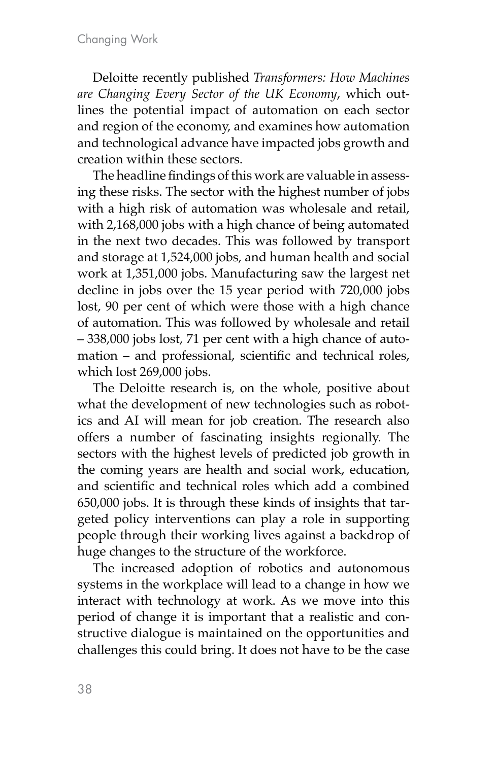Deloitte recently published *Transformers: How Machines are Changing Every Sector of the UK Economy*, which outlines the potential impact of automation on each sector and region of the economy, and examines how automation and technological advance have impacted jobs growth and creation within these sectors.

The headline findings of this work are valuable in assessing these risks. The sector with the highest number of jobs with a high risk of automation was wholesale and retail, with 2,168,000 jobs with a high chance of being automated in the next two decades. This was followed by transport and storage at 1,524,000 jobs, and human health and social work at 1,351,000 jobs. Manufacturing saw the largest net decline in jobs over the 15 year period with 720,000 jobs lost, 90 per cent of which were those with a high chance of automation. This was followed by wholesale and retail – 338,000 jobs lost, 71 per cent with a high chance of automation – and professional, scientific and technical roles, which lost 269,000 jobs.

The Deloitte research is, on the whole, positive about what the development of new technologies such as robotics and AI will mean for job creation. The research also offers a number of fascinating insights regionally. The sectors with the highest levels of predicted job growth in the coming years are health and social work, education, and scientific and technical roles which add a combined 650,000 jobs. It is through these kinds of insights that targeted policy interventions can play a role in supporting people through their working lives against a backdrop of huge changes to the structure of the workforce.

The increased adoption of robotics and autonomous systems in the workplace will lead to a change in how we interact with technology at work. As we move into this period of change it is important that a realistic and constructive dialogue is maintained on the opportunities and challenges this could bring. It does not have to be the case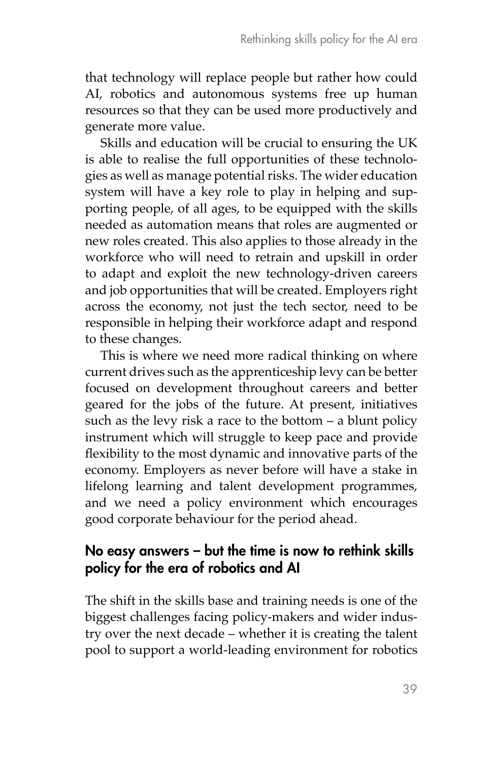that technology will replace people but rather how could AI, robotics and autonomous systems free up human resources so that they can be used more productively and generate more value.

Skills and education will be crucial to ensuring the UK is able to realise the full opportunities of these technologies as well as manage potential risks. The wider education system will have a key role to play in helping and supporting people, of all ages, to be equipped with the skills needed as automation means that roles are augmented or new roles created. This also applies to those already in the workforce who will need to retrain and upskill in order to adapt and exploit the new technology-driven careers and job opportunities that will be created. Employers right across the economy, not just the tech sector, need to be responsible in helping their workforce adapt and respond to these changes.

This is where we need more radical thinking on where current drives such as the apprenticeship levy can be better focused on development throughout careers and better geared for the jobs of the future. At present, initiatives such as the levy risk a race to the bottom – a blunt policy instrument which will struggle to keep pace and provide flexibility to the most dynamic and innovative parts of the economy. Employers as never before will have a stake in lifelong learning and talent development programmes, and we need a policy environment which encourages good corporate behaviour for the period ahead.

### No easy answers – but the time is now to rethink skills policy for the era of robotics and AI

The shift in the skills base and training needs is one of the biggest challenges facing policy-makers and wider industry over the next decade – whether it is creating the talent pool to support a world-leading environment for robotics